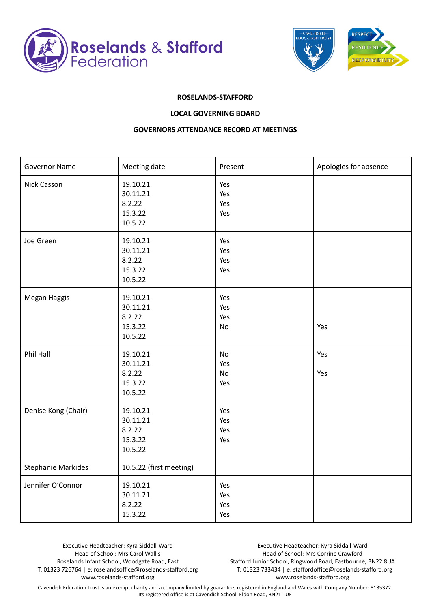



## **ROSELANDS-STAFFORD**

## **LOCAL GOVERNING BOARD**

## **GOVERNORS ATTENDANCE RECORD AT MEETINGS**

| <b>Governor Name</b>      | Meeting date                                         | Present                  | Apologies for absence |
|---------------------------|------------------------------------------------------|--------------------------|-----------------------|
| Nick Casson               | 19.10.21<br>30.11.21<br>8.2.22<br>15.3.22<br>10.5.22 | Yes<br>Yes<br>Yes<br>Yes |                       |
| Joe Green                 | 19.10.21<br>30.11.21<br>8.2.22<br>15.3.22<br>10.5.22 | Yes<br>Yes<br>Yes<br>Yes |                       |
| Megan Haggis              | 19.10.21<br>30.11.21<br>8.2.22<br>15.3.22<br>10.5.22 | Yes<br>Yes<br>Yes<br>No  | Yes                   |
| Phil Hall                 | 19.10.21<br>30.11.21<br>8.2.22<br>15.3.22<br>10.5.22 | No<br>Yes<br>No<br>Yes   | Yes<br>Yes            |
| Denise Kong (Chair)       | 19.10.21<br>30.11.21<br>8.2.22<br>15.3.22<br>10.5.22 | Yes<br>Yes<br>Yes<br>Yes |                       |
| <b>Stephanie Markides</b> | 10.5.22 (first meeting)                              |                          |                       |
| Jennifer O'Connor         | 19.10.21<br>30.11.21<br>8.2.22<br>15.3.22            | Yes<br>Yes<br>Yes<br>Yes |                       |

Executive Headteacher: Kyra Siddall-Ward Head of School: Mrs Carol Wallis Roselands Infant School, Woodgate Road, East T: 01323 726764 | e: roselandsoffice@roselands-stafford.org www.roselands-stafford.org

Executive Headteacher: Kyra Siddall-Ward Head of School: Mrs Corrine Crawford Stafford Junior School, Ringwood Road, Eastbourne, BN22 8UA T: 01323 733434 | e: staffordoffice@roselands-stafford.org www.roselands-stafford.org

Cavendish Education Trust is an exempt charity and a company limited by guarantee, registered in England and Wales with Company Number: 8135372. Its registered office is at Cavendish School, Eldon Road, BN21 1UE